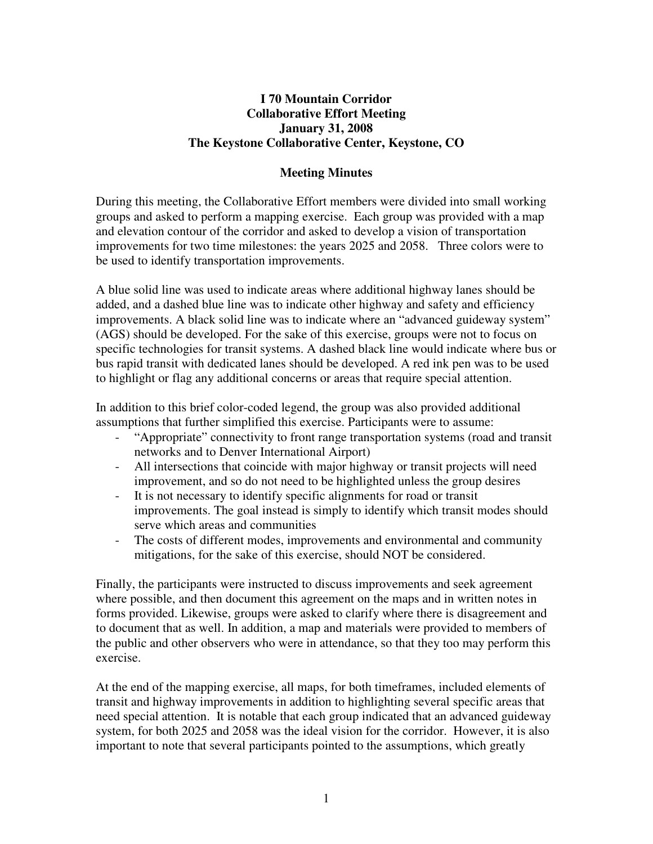#### **I 70 Mountain Corridor Collaborative Effort Meeting January 31, 2008 The Keystone Collaborative Center, Keystone, CO**

#### **Meeting Minutes**

During this meeting, the Collaborative Effort members were divided into small working groups and asked to perform a mapping exercise. Each group was provided with a map and elevation contour of the corridor and asked to develop a vision of transportation improvements for two time milestones: the years 2025 and 2058. Three colors were to be used to identify transportation improvements.

A blue solid line was used to indicate areas where additional highway lanes should be added, and a dashed blue line was to indicate other highway and safety and efficiency improvements. A black solid line was to indicate where an "advanced guideway system" (AGS) should be developed. For the sake of this exercise, groups were not to focus on specific technologies for transit systems. A dashed black line would indicate where bus or bus rapid transit with dedicated lanes should be developed. A red ink pen was to be used to highlight or flag any additional concerns or areas that require special attention.

In addition to this brief color-coded legend, the group was also provided additional assumptions that further simplified this exercise. Participants were to assume:

- "Appropriate" connectivity to front range transportation systems (road and transit networks and to Denver International Airport)
- All intersections that coincide with major highway or transit projects will need improvement, and so do not need to be highlighted unless the group desires
- It is not necessary to identify specific alignments for road or transit improvements. The goal instead is simply to identify which transit modes should serve which areas and communities
- The costs of different modes, improvements and environmental and community mitigations, for the sake of this exercise, should NOT be considered.

Finally, the participants were instructed to discuss improvements and seek agreement where possible, and then document this agreement on the maps and in written notes in forms provided. Likewise, groups were asked to clarify where there is disagreement and to document that as well. In addition, a map and materials were provided to members of the public and other observers who were in attendance, so that they too may perform this exercise.

At the end of the mapping exercise, all maps, for both timeframes, included elements of transit and highway improvements in addition to highlighting several specific areas that need special attention. It is notable that each group indicated that an advanced guideway system, for both 2025 and 2058 was the ideal vision for the corridor. However, it is also important to note that several participants pointed to the assumptions, which greatly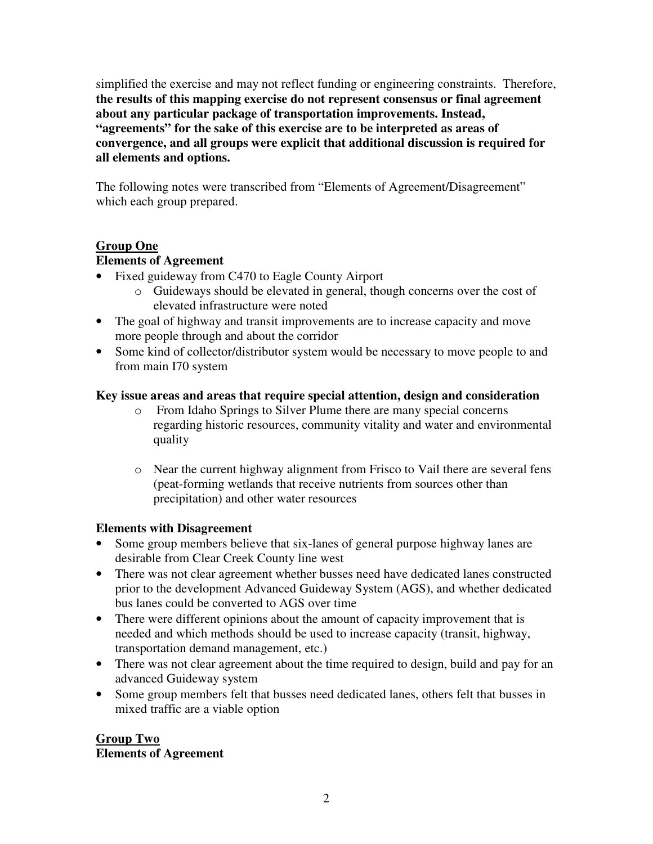simplified the exercise and may not reflect funding or engineering constraints. Therefore, **the results of this mapping exercise do not represent consensus or final agreement about any particular package of transportation improvements. Instead, "agreements" for the sake of this exercise are to be interpreted as areas of convergence, and all groups were explicit that additional discussion is required for all elements and options.**

The following notes were transcribed from "Elements of Agreement/Disagreement" which each group prepared.

# **Group One**

## **Elements of Agreement**

- Fixed guideway from C470 to Eagle County Airport
	- o Guideways should be elevated in general, though concerns over the cost of elevated infrastructure were noted
- The goal of highway and transit improvements are to increase capacity and move more people through and about the corridor
- Some kind of collector/distributor system would be necessary to move people to and from main I70 system

## **Key issue areas and areas that require special attention, design and consideration**

- o From Idaho Springs to Silver Plume there are many special concerns regarding historic resources, community vitality and water and environmental quality
- o Near the current highway alignment from Frisco to Vail there are several fens (peat-forming wetlands that receive nutrients from sources other than precipitation) and other water resources

### **Elements with Disagreement**

- Some group members believe that six-lanes of general purpose highway lanes are desirable from Clear Creek County line west
- There was not clear agreement whether busses need have dedicated lanes constructed prior to the development Advanced Guideway System (AGS), and whether dedicated bus lanes could be converted to AGS over time
- There were different opinions about the amount of capacity improvement that is needed and which methods should be used to increase capacity (transit, highway, transportation demand management, etc.)
- There was not clear agreement about the time required to design, build and pay for an advanced Guideway system
- Some group members felt that busses need dedicated lanes, others felt that busses in mixed traffic are a viable option

### **Group Two Elements of Agreement**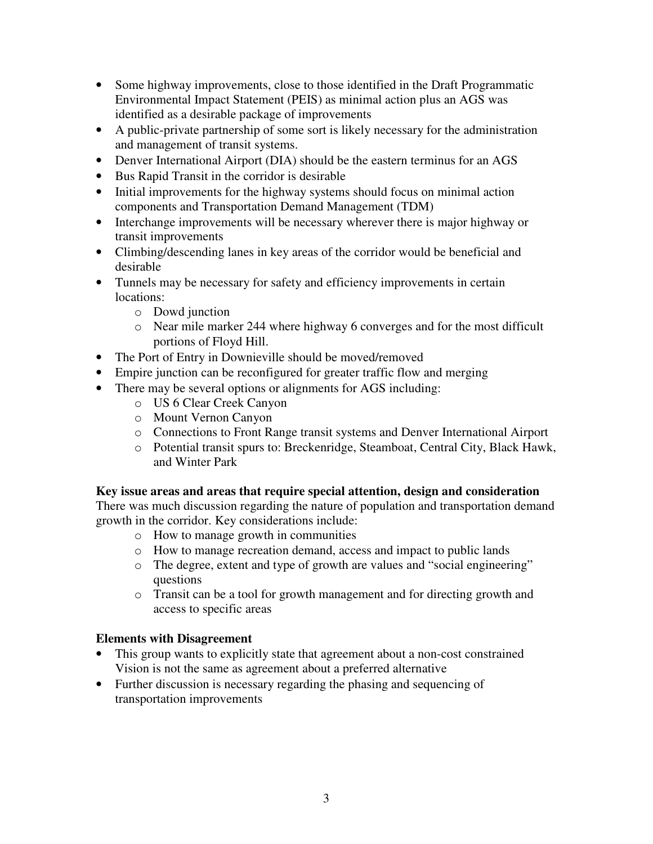- Some highway improvements, close to those identified in the Draft Programmatic Environmental Impact Statement (PEIS) as minimal action plus an AGS was identified as a desirable package of improvements
- A public-private partnership of some sort is likely necessary for the administration and management of transit systems.
- Denver International Airport (DIA) should be the eastern terminus for an AGS
- Bus Rapid Transit in the corridor is desirable
- Initial improvements for the highway systems should focus on minimal action components and Transportation Demand Management (TDM)
- Interchange improvements will be necessary wherever there is major highway or transit improvements
- Climbing/descending lanes in key areas of the corridor would be beneficial and desirable
- Tunnels may be necessary for safety and efficiency improvements in certain locations:
	- o Dowd junction
	- o Near mile marker 244 where highway 6 converges and for the most difficult portions of Floyd Hill.
- The Port of Entry in Downieville should be moved/removed
- Empire junction can be reconfigured for greater traffic flow and merging
- There may be several options or alignments for AGS including:
	- o US 6 Clear Creek Canyon
	- o Mount Vernon Canyon
	- o Connections to Front Range transit systems and Denver International Airport
	- o Potential transit spurs to: Breckenridge, Steamboat, Central City, Black Hawk, and Winter Park

#### **Key issue areas and areas that require special attention, design and consideration**

There was much discussion regarding the nature of population and transportation demand growth in the corridor. Key considerations include:

- o How to manage growth in communities
- o How to manage recreation demand, access and impact to public lands
- o The degree, extent and type of growth are values and "social engineering" questions
- o Transit can be a tool for growth management and for directing growth and access to specific areas

### **Elements with Disagreement**

- This group wants to explicitly state that agreement about a non-cost constrained Vision is not the same as agreement about a preferred alternative
- Further discussion is necessary regarding the phasing and sequencing of transportation improvements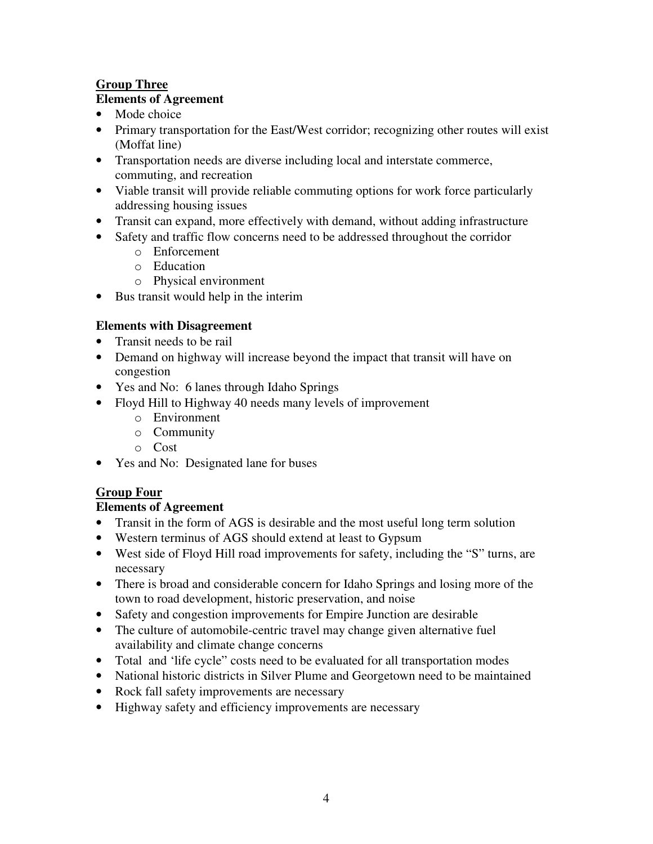# **Group Three**

### **Elements of Agreement**

- Mode choice
- Primary transportation for the East/West corridor; recognizing other routes will exist (Moffat line)
- Transportation needs are diverse including local and interstate commerce, commuting, and recreation
- Viable transit will provide reliable commuting options for work force particularly addressing housing issues
- Transit can expand, more effectively with demand, without adding infrastructure
- Safety and traffic flow concerns need to be addressed throughout the corridor
	- o Enforcement
	- o Education
	- o Physical environment
- Bus transit would help in the interim

## **Elements with Disagreement**

- Transit needs to be rail
- Demand on highway will increase beyond the impact that transit will have on congestion
- Yes and No: 6 lanes through Idaho Springs
- Floyd Hill to Highway 40 needs many levels of improvement
	- o Environment
	- o Community
	- o Cost
- Yes and No: Designated lane for buses

## **Group Four**

## **Elements of Agreement**

- Transit in the form of AGS is desirable and the most useful long term solution
- Western terminus of AGS should extend at least to Gypsum
- West side of Floyd Hill road improvements for safety, including the "S" turns, are necessary
- There is broad and considerable concern for Idaho Springs and losing more of the town to road development, historic preservation, and noise
- Safety and congestion improvements for Empire Junction are desirable
- The culture of automobile-centric travel may change given alternative fuel availability and climate change concerns
- Total and 'life cycle'' costs need to be evaluated for all transportation modes
- National historic districts in Silver Plume and Georgetown need to be maintained
- Rock fall safety improvements are necessary
- Highway safety and efficiency improvements are necessary